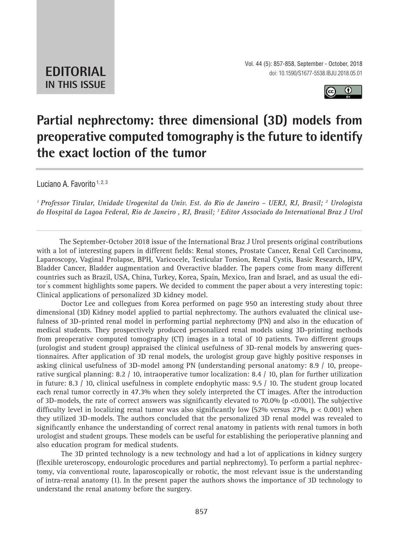

## **Partial nephrectomy: three dimensional (3D) models from preoperative computed tomography is the future to identify the exact loction of the tumor \_\_\_\_\_\_\_\_\_\_\_\_\_\_\_\_\_\_\_\_\_\_\_\_\_\_\_\_\_\_\_\_\_\_\_\_\_\_\_\_\_\_\_\_\_\_\_**

Luciano A. Favorito 1, 2, 3

*1 Professor Titular, Unidade Urogenital da Univ. Est. do Rio de Janeiro – UERJ, RJ, Brasil; 2 Urologista do Hospital da Lagoa Federal, Rio de Janeiro , RJ, Brasil; 3 Editor Associado do International Braz J Urol*

*\_\_\_\_\_\_\_\_\_\_\_\_\_\_\_\_\_\_\_\_\_\_\_\_\_\_\_\_\_\_\_\_\_\_\_\_\_\_\_\_\_\_\_\_\_\_\_\_\_\_\_\_\_\_\_\_\_\_\_\_\_\_\_\_\_\_\_\_\_\_\_\_\_\_\_\_\_\_\_\_\_\_\_\_\_\_\_*

The September-October 2018 issue of the International Braz J Urol presents original contributions with a lot of interesting papers in different fields: Renal stones, Prostate Cancer, Renal Cell Carcinoma, Laparoscopy, Vaginal Prolapse, BPH, Varicocele, Testicular Torsion, Renal Cystis, Basic Research, HPV, Bladder Cancer, Bladder augmentation and Overactive bladder. The papers come from many different countries such as Brazil, USA, China, Turkey, Korea, Spain, Mexico, Iran and Israel, and as usual the editor ́s comment highlights some papers. We decided to comment the paper about a very interesting topic: Clinical applications of personalized 3D kidney model.

Doctor Lee and collegues from Korea performed on page 950 an interesting study about three dimensional (3D) Kidney model applied to partial nephrectomy. The authors evaluated the clinical usefulness of 3D-printed renal model in performing partial nephrectomy (PN) and also in the education of medical students. They prospectively produced personalized renal models using 3D-printing methods from preoperative computed tomography (CT) images in a total of 10 patients. Two different groups (urologist and student group) appraised the clinical usefulness of 3D-renal models by answering questionnaires. After application of 3D renal models, the urologist group gave highly positive responses in asking clinical usefulness of 3D-model among PN (understanding personal anatomy: 8.9 / 10, preoperative surgical planning: 8.2 / 10, intraoperative tumor localization: 8.4 / 10, plan for further utilization in future: 8.3 / 10, clinical usefulness in complete endophytic mass: 9.5 / 10. The student group located each renal tumor correctly in 47.3% when they solely interpreted the CT images. After the introduction of 3D-models, the rate of correct answers was significantly elevated to 70.0% (p <0.001). The subjective difficulty level in localizing renal tumor was also significantly low (52% versus 27%, p < 0.001) when they utilized 3D-models. The authors concluded that the personalized 3D renal model was revealed to significantly enhance the understanding of correct renal anatomy in patients with renal tumors in both urologist and student groups. These models can be useful for establishing the perioperative planning and also education program for medical students.

The 3D printed technology is a new technology and had a lot of applications in kidney surgery (flexible ureteroscopy, endourologic procedures and partial nephrectomy). To perform a partial nephrectomy, via conventional route, laparoscopically or robotic, the most relevant issue is the understanding of intra-renal anatomy (1). In the present paper the authors shows the importance of 3D technology to understand the renal anatomy before the surgery.